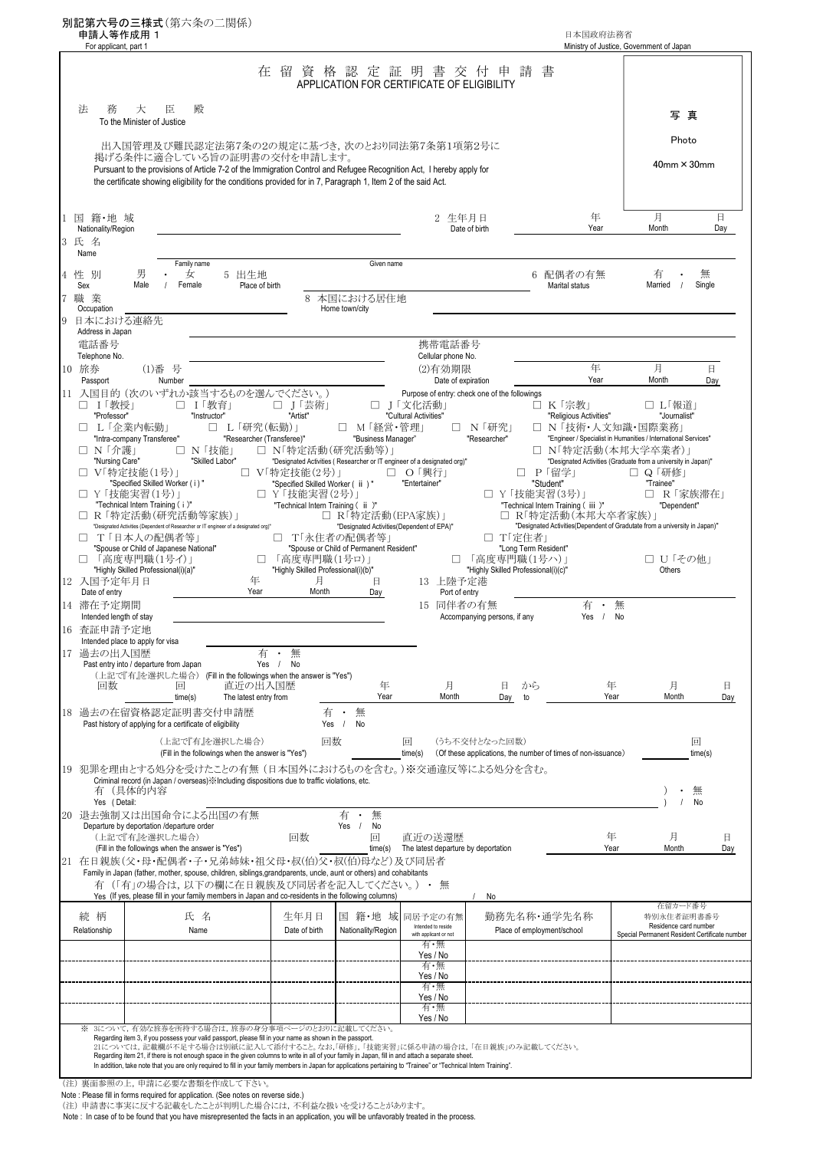| For applicant, part 1                    | 別記第六号の三様式(第六条の二関係)<br>申請人等作成用 1                                                                                                                                                                                                                                                                                                              |                                          |                                                     |                                           |                                                                         |                                                     | 日本国政府法務省                                                     | Ministry of Justice, Government of Japan                                            |                                     |
|------------------------------------------|----------------------------------------------------------------------------------------------------------------------------------------------------------------------------------------------------------------------------------------------------------------------------------------------------------------------------------------------|------------------------------------------|-----------------------------------------------------|-------------------------------------------|-------------------------------------------------------------------------|-----------------------------------------------------|--------------------------------------------------------------|-------------------------------------------------------------------------------------|-------------------------------------|
|                                          |                                                                                                                                                                                                                                                                                                                                              |                                          |                                                     |                                           | 在留資格認定証明書交付申請<br>APPLICATION FOR CERTIFICATE OF ELIGIBILITY             |                                                     | 書                                                            |                                                                                     |                                     |
| 法<br>務                                   | 大<br>殿<br>臣<br>To the Minister of Justice                                                                                                                                                                                                                                                                                                    |                                          |                                                     |                                           |                                                                         |                                                     |                                                              |                                                                                     | 写真                                  |
|                                          | 出入国管理及び難民認定法第7条の2の規定に基づき、次のとおり同法第7条第1項第2号に                                                                                                                                                                                                                                                                                                   |                                          |                                                     |                                           |                                                                         |                                                     |                                                              |                                                                                     | Photo                               |
|                                          | 揭げる条件に適合している旨の証明書の交付を申請します。<br>Pursuant to the provisions of Article 7-2 of the Immigration Control and Refugee Recognition Act, I hereby apply for<br>the certificate showing eligibility for the conditions provided for in 7, Paragraph 1, Item 2 of the said Act.                                                                        |                                          |                                                     |                                           |                                                                         |                                                     |                                                              |                                                                                     | $40$ mm $\times$ 30mm               |
| 1 国 籍・地 域<br>Nationality/Region<br>3 氏 名 |                                                                                                                                                                                                                                                                                                                                              |                                          |                                                     |                                           | 2 生年月日<br>Date of birth                                                 |                                                     | 年<br>Year                                                    | 月<br>Month                                                                          | 日<br>Day                            |
| Name<br>性 別                              | Family name<br>男<br>女                                                                                                                                                                                                                                                                                                                        | 5 出生地                                    |                                                     | Given name                                |                                                                         |                                                     | 6 配偶者の有無                                                     | 有                                                                                   | 無                                   |
| Sex<br>職業                                | Female<br>Male                                                                                                                                                                                                                                                                                                                               | Place of birth                           |                                                     | 8 本国における居住地                               |                                                                         |                                                     | Marital status                                               | Married<br>$\frac{1}{2}$                                                            | Single                              |
| Occupation<br>日本における連絡先                  |                                                                                                                                                                                                                                                                                                                                              |                                          |                                                     | Home town/city                            |                                                                         |                                                     |                                                              |                                                                                     |                                     |
| Address in Japan<br>電話番号                 |                                                                                                                                                                                                                                                                                                                                              |                                          |                                                     |                                           | 携帯電話番号                                                                  |                                                     |                                                              |                                                                                     |                                     |
| Telephone No.                            |                                                                                                                                                                                                                                                                                                                                              |                                          |                                                     |                                           | Cellular phone No.                                                      |                                                     |                                                              |                                                                                     |                                     |
| 10 旅券<br>Passport                        | (1)番号<br>Number                                                                                                                                                                                                                                                                                                                              |                                          |                                                     |                                           | (2)有効期限<br>Date of expiration                                           |                                                     | 年<br>Year                                                    | 月<br>Month                                                                          | 日<br>Day                            |
| □ Ⅰ「教授」                                  | 11 入国目的 (次のいずれか該当するものを選んでください。)<br>□ Ⅰ「教育」                                                                                                                                                                                                                                                                                                   |                                          | □ J「芸術」                                             |                                           | Purpose of entry: check one of the followings<br>□ J「文化活動」              |                                                     | □ K「宗教」                                                      | □ L「報道」                                                                             |                                     |
| "Professor"<br>$\mathbf{1}$              | "Instructor"<br>L 「企業内転勤」                                                                                                                                                                                                                                                                                                                    |                                          | "Artist"                                            | □ M「経営・管理」                                | "Cultural Activities"                                                   |                                                     | "Religious Activities"                                       | "Journalist"<br>□ N 「技術・人文知識・国際業務」                                                  |                                     |
|                                          | "Intra-company Transferee"                                                                                                                                                                                                                                                                                                                   | □ L「研究(転勤)」<br>"Researcher (Transferee)" |                                                     | "Business Manager"                        |                                                                         | □ N「研究」<br>"Researcher"                             |                                                              | "Engineer / Specialist in Humanities / International Services"                      |                                     |
| □ N「介護」<br>"Nursing Care"                | □ N「技能」<br>"Skilled Labor"                                                                                                                                                                                                                                                                                                                   |                                          |                                                     | □ N「特定活動(研究活動等)」                          | "Designated Activities (Researcher or IT engineer of a designated org)" |                                                     |                                                              | □ N「特定活動(本邦大学卒業者)」<br>"Designated Activities (Graduate from a university in Japan)" |                                     |
|                                          | □ Ⅴ「特定技能(1号)」<br>"Specified Skilled Worker (i)"                                                                                                                                                                                                                                                                                              |                                          | □ V「特定技能(2号)」<br>"Specified Skilled Worker ( ii )"  |                                           | □ ○「興行」<br>"Entertainer"                                                |                                                     | □ P「留学」<br>"Student"                                         | □ Q 「研修」<br>"Trainee"                                                               |                                     |
|                                          | □ Y「技能実習(1号)」                                                                                                                                                                                                                                                                                                                                |                                          | □ Y「技能実習(2号)」                                       |                                           |                                                                         |                                                     | □ Y 「技能実習(3号)」                                               |                                                                                     | □ R「家族滞在」                           |
|                                          | "Technical Intern Training (i)"<br>□ R 「特定活動(研究活動等家族)」                                                                                                                                                                                                                                                                                       |                                          | "Technical Intern Training ( ii )"                  | □ R「特定活動(EPA家族)」                          |                                                                         |                                                     | "Technical Intern Training (iii)"<br>□ R「特定活動(本邦大卒者家族)」      | "Dependent"                                                                         |                                     |
|                                          | "Designated Activities (Dependent of Researcher or IT engineer of a designated org)"<br>□ T「日本人の配偶者等」                                                                                                                                                                                                                                        |                                          | □ T「永住者の配偶者等」                                       | "Designated Activities(Dependent of EPA)" |                                                                         | □ T「定住者」                                            |                                                              | "Designated Activities(Dependent of Gradutate from a university in Japan)"          |                                     |
|                                          | "Spouse or Child of Japanese National"                                                                                                                                                                                                                                                                                                       |                                          |                                                     | "Spouse or Child of Permanent Resident"   |                                                                         | "Long Term Resident"                                |                                                              |                                                                                     |                                     |
|                                          | 「高度専門職(1号イ)」<br>"Highly Skilled Professional(i)(a)"                                                                                                                                                                                                                                                                                          | п                                        | 「高度専門職(1号ロ)」<br>"Highly Skilled Professional(i)(b)" |                                           |                                                                         | 「高度専門職(1号ハ)」<br>"Highly Skilled Professional(i)(c)" |                                                              | □ U「その他」<br>Others                                                                  |                                     |
| 12 入国予定年月日<br>Date of entry              |                                                                                                                                                                                                                                                                                                                                              | 年<br>Year                                | 月<br>Month                                          | 日<br>Day                                  | 13 上陸予定港<br>Port of entry                                               |                                                     |                                                              |                                                                                     |                                     |
| 14 滞在予定期間                                |                                                                                                                                                                                                                                                                                                                                              |                                          |                                                     |                                           | 15 同伴者の有無                                                               |                                                     | 有<br>$\bullet$                                               | 無                                                                                   |                                     |
| Intended length of stay<br>查証申請予定地       |                                                                                                                                                                                                                                                                                                                                              |                                          |                                                     |                                           |                                                                         | Accompanying persons, if any                        | Yes /                                                        | No                                                                                  |                                     |
|                                          | Intended place to apply for visa                                                                                                                                                                                                                                                                                                             |                                          |                                                     |                                           |                                                                         |                                                     |                                                              |                                                                                     |                                     |
| 17 過去の出入国歴                               | Past entry into / departure from Japan                                                                                                                                                                                                                                                                                                       | 有<br>Yes                                 | 無<br>/ No                                           |                                           |                                                                         |                                                     |                                                              |                                                                                     |                                     |
| 回数                                       | (上記で『有』を選択した場合) (Fill in the followings when the answer is "Yes")<br>回                                                                                                                                                                                                                                                                       | 直近の出入国歴                                  |                                                     | 年                                         | 月                                                                       | から<br>日                                             |                                                              | 月<br>年                                                                              | 日                                   |
|                                          | time(s)                                                                                                                                                                                                                                                                                                                                      | The latest entry from                    |                                                     | Year                                      | Month                                                                   | Day<br>to                                           |                                                              | Year<br>Month                                                                       | Day                                 |
|                                          | 18 過去の在留資格認定証明書交付申請歴<br>Past history of applying for a certificate of eligibility                                                                                                                                                                                                                                                            |                                          | 有                                                   | 無<br>Yes /<br>No                          |                                                                         |                                                     |                                                              |                                                                                     |                                     |
|                                          | (上記で『有』を選択した場合)<br>(Fill in the followings when the answer is "Yes")                                                                                                                                                                                                                                                                         |                                          | 回数                                                  |                                           | 回<br>time(s)                                                            | (うち不交付となった回数)                                       | (Of these applications, the number of times of non-issuance) |                                                                                     | 回<br>time(s)                        |
|                                          | 19 犯罪を理由とする処分を受けたことの有無 (日本国外におけるものを含む。)※交通違反等による処分を含む。                                                                                                                                                                                                                                                                                       |                                          |                                                     |                                           |                                                                         |                                                     |                                                              |                                                                                     |                                     |
| 有                                        | Criminal record (in Japan / overseas) : Including dispositions due to traffic violations, etc.<br>(具体的内容                                                                                                                                                                                                                                     |                                          |                                                     |                                           |                                                                         |                                                     |                                                              |                                                                                     | 無                                   |
| Yes (Detail:                             |                                                                                                                                                                                                                                                                                                                                              |                                          |                                                     | 有                                         |                                                                         |                                                     |                                                              |                                                                                     | No                                  |
|                                          | 20 退去強制又は出国命令による出国の有無<br>Departure by deportation /departure order                                                                                                                                                                                                                                                                           |                                          |                                                     | 無<br>Yes /<br>No                          |                                                                         |                                                     |                                                              |                                                                                     |                                     |
|                                          | (上記で『有』を選択した場合)<br>(Fill in the followings when the answer is "Yes")                                                                                                                                                                                                                                                                         |                                          | 回数                                                  | 回<br>time(s)                              | 直近の送還歴<br>The latest departure by deportation                           |                                                     |                                                              | 年<br>月<br>Year<br>Month                                                             | 日<br>Day                            |
|                                          | 21 在日親族(父・母・配偶者・子・兄弟姉妹・祖父母・叔(伯)父・叔(伯)母など)及び同居者                                                                                                                                                                                                                                                                                               |                                          |                                                     |                                           |                                                                         |                                                     |                                                              |                                                                                     |                                     |
|                                          | Family in Japan (father, mother, spouse, children, siblings, grandparents, uncle, aunt or others) and cohabitants<br>有(「有」の場合は、以下の欄に在日親族及び同居者を記入してください。) · 無                                                                                                                                                                                 |                                          |                                                     |                                           |                                                                         |                                                     |                                                              |                                                                                     |                                     |
|                                          | Yes (If yes, please fill in your family members in Japan and co-residents in the following columns)                                                                                                                                                                                                                                          |                                          |                                                     |                                           |                                                                         | No                                                  |                                                              |                                                                                     | 在留カード番号                             |
| 続 柄<br>Relationship                      | 氏 名<br>Name                                                                                                                                                                                                                                                                                                                                  |                                          | 生年月日<br>Date of birth                               | 国 籍・地 域<br>Nationality/Region             | 同居予定の有無<br>Intended to reside                                           |                                                     | 勤務先名称•通学先名称                                                  |                                                                                     | 特別永住者証明書番号<br>Residence card number |
|                                          |                                                                                                                                                                                                                                                                                                                                              |                                          |                                                     |                                           | with applicant or not<br>有・無                                            |                                                     | Place of employment/school                                   | Special Permanent Resident Certificate number                                       |                                     |
|                                          |                                                                                                                                                                                                                                                                                                                                              |                                          |                                                     |                                           | Yes / No<br>有・無                                                         |                                                     |                                                              |                                                                                     |                                     |
|                                          |                                                                                                                                                                                                                                                                                                                                              |                                          |                                                     |                                           | Yes / No<br>有・無                                                         |                                                     |                                                              |                                                                                     |                                     |
|                                          |                                                                                                                                                                                                                                                                                                                                              |                                          |                                                     |                                           | Yes / No                                                                |                                                     |                                                              |                                                                                     |                                     |
|                                          |                                                                                                                                                                                                                                                                                                                                              |                                          |                                                     |                                           | 有・無                                                                     |                                                     |                                                              |                                                                                     |                                     |
|                                          |                                                                                                                                                                                                                                                                                                                                              |                                          |                                                     |                                           | Yes / No                                                                |                                                     |                                                              |                                                                                     |                                     |
|                                          | ※ 3について,有効な旅券を所持する場合は,旅券の身分事項ページのとおりに記載してください。                                                                                                                                                                                                                                                                                               |                                          |                                                     |                                           |                                                                         |                                                     |                                                              |                                                                                     |                                     |
|                                          | Regarding item 3, if you possess your valid passport, please fill in your name as shown in the passport.<br>21については,記載欄が不足する場合は別紙に記入して添付すること。なお,「研修」,「技能実習」に係る申請の場合は,「在日親族」のみ記載してください。<br>Regarding item 21, if there is not enough space in the given columns to write in all of your family in Japan, fill in and attach a separate sheet. |                                          |                                                     |                                           |                                                                         |                                                     |                                                              |                                                                                     |                                     |

Note : In case of to be found that you have misrepresented the facts in an application, you will be unfavorably treated in the process.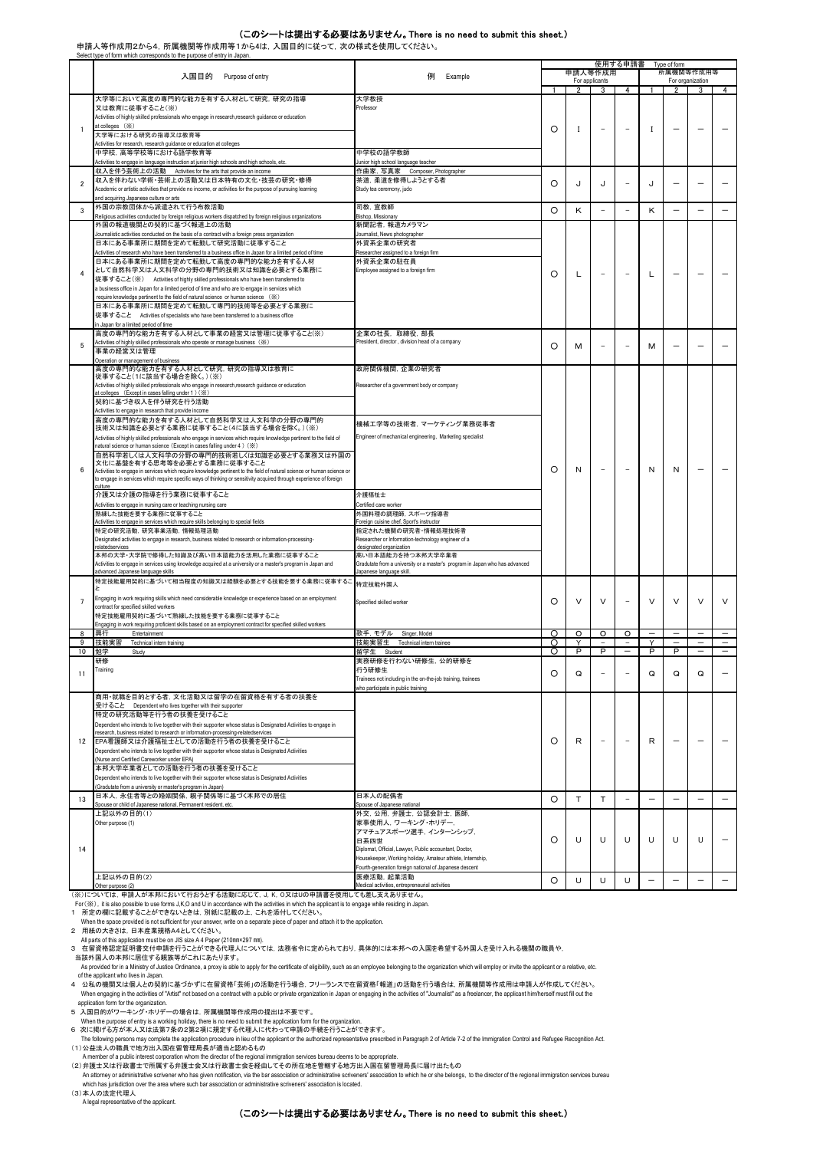## (このシートは提出する必要はありません。There is no need to submit this sheet.)

申請人等作成用2から4,所属機関等作成用等1から4は,入国目的に従って,次の様式を使用してください。

|                  | Select type of form which corresponds to the purpose of entry in Japan                                                                                                                            |                                                                             |                      |              |                | 使用する申請書                  |                          | Type of form     |                          |                          |  |
|------------------|---------------------------------------------------------------------------------------------------------------------------------------------------------------------------------------------------|-----------------------------------------------------------------------------|----------------------|--------------|----------------|--------------------------|--------------------------|------------------|--------------------------|--------------------------|--|
|                  | 入国目的                                                                                                                                                                                              |                                                                             | 申請人等作成用<br>所属機関等作成用等 |              |                |                          |                          |                  |                          |                          |  |
|                  | Purpose of entry                                                                                                                                                                                  | 例<br>Example                                                                |                      |              | For applicants |                          |                          | For organization |                          |                          |  |
|                  |                                                                                                                                                                                                   |                                                                             | 1                    | 2            | 3              | 4                        | 1                        | $\overline{2}$   | 3                        | 4                        |  |
|                  | 大学等において高度の専門的な能力を有する人材として研究、研究の指導                                                                                                                                                                 | 大学教授                                                                        |                      |              |                |                          |                          |                  |                          |                          |  |
|                  | 又は教育に従事すること(※)                                                                                                                                                                                    | Professor                                                                   |                      |              |                |                          |                          |                  |                          |                          |  |
|                  | Activities of highly skilled professionals who engage in research,research guidance or education<br>at colleges (※)                                                                               |                                                                             |                      |              |                |                          |                          |                  |                          |                          |  |
| 1                | 大学等における研究の指導又は教育等                                                                                                                                                                                 |                                                                             | O                    | -1           |                | $\overline{\phantom{a}}$ | I                        |                  |                          |                          |  |
|                  | Activities for research, research guidance or education at colleges                                                                                                                               |                                                                             |                      |              |                |                          |                          |                  |                          |                          |  |
|                  | 中学校、高等学校等における語学教育等                                                                                                                                                                                | 中学校の語学教師                                                                    |                      |              |                |                          |                          |                  |                          |                          |  |
|                  | Activities to engage in language instruction at junior high schools and high schools, etc.                                                                                                        | Junior high school language teacher                                         |                      |              |                |                          |                          |                  |                          |                          |  |
|                  | 収入を伴う芸術上の活動 Activities for the arts that provide an income                                                                                                                                        | 作曲家, 写真家 Composer, Photographer                                             |                      |              |                |                          |                          |                  |                          |                          |  |
| $\overline{2}$   | 収入を伴わない学術・芸術上の活動又は日本特有の文化・技芸の研究・修得                                                                                                                                                                | 茶道、柔道を修得しようとする者                                                             | O                    | J            | J              | $\overline{\phantom{a}}$ | J                        |                  |                          |                          |  |
|                  | Academic or artistic activities that provide no income, or activities for the purpose of pursuing learning                                                                                        | Study tea ceremony, judo                                                    |                      |              |                |                          |                          |                  |                          |                          |  |
|                  | and acquiring Japanese culture or arts                                                                                                                                                            |                                                                             |                      |              |                |                          |                          |                  |                          |                          |  |
| 3                | 外国の宗教団体から派遣されて行う布教活動                                                                                                                                                                              | 司教. 宣教師                                                                     | O                    | K            |                | $\overline{a}$           | Κ                        |                  |                          |                          |  |
|                  | eligious activities conducted by foreign religious workers dispatched by foreign religious organizations<br>外国の報道機関との契約に基づく報道上の活動                                                                 | Bishop, Missionary<br>新聞記者. 報道カメラマン                                         |                      |              |                |                          |                          |                  |                          |                          |  |
|                  | Journalistic activities conducted on the basis of a contract with a foreign press organization                                                                                                    | Journalist, News photographer                                               |                      |              |                |                          |                          |                  |                          |                          |  |
|                  | 日本にある事業所に期間を定めて転勤して研究活動に従事すること                                                                                                                                                                    | 外資系企業の研究者                                                                   |                      |              |                |                          |                          |                  |                          |                          |  |
|                  | Activities of research who have been transferred to a business office in Japan for a limited period of time                                                                                       | Researcher assigned to a foreign firm                                       |                      |              |                |                          |                          |                  |                          |                          |  |
|                  | 日本にある事業所に期間を定めて転勤して高度の専門的な能力を有する人材                                                                                                                                                                | 外資系企業の駐在員                                                                   |                      |              |                |                          |                          |                  |                          |                          |  |
| 4                | として自然科学又は人文科学の分野の専門的技術又は知識を必要とする業務に                                                                                                                                                               | Employee assigned to a foreign firm                                         |                      |              |                | $\overline{\phantom{a}}$ |                          |                  |                          |                          |  |
|                  | 従事すること(※) Activities of highly skilled professionals who have been transferred to                                                                                                                 |                                                                             | O                    | L            |                |                          | L                        |                  |                          |                          |  |
|                  | a business office in Japan for a limited period of time and who are to engage in services which                                                                                                   |                                                                             |                      |              |                |                          |                          |                  |                          |                          |  |
|                  | require knowledge pertinent to the field of natural science or human science (※)                                                                                                                  |                                                                             |                      |              |                |                          |                          |                  |                          |                          |  |
|                  | 日本にある事業所に期間を定めて転勤して専門的技術等を必要とする業務に                                                                                                                                                                |                                                                             |                      |              |                |                          |                          |                  |                          |                          |  |
|                  | 従事すること Activities of specialists who have been transferred to a business office                                                                                                                   |                                                                             |                      |              |                |                          |                          |                  |                          |                          |  |
|                  | n Japan for a limited period of time                                                                                                                                                              |                                                                             |                      |              |                |                          |                          |                  |                          |                          |  |
|                  | 高度の専門的な能力を有する人材として事業の経営又は管理に従事すること(※)<br>Activities of highly skilled professionals who operate or manage business (※)                                                                            | 企業の社長, 取締役, 部長<br>President, director, division head of a company           |                      |              |                |                          |                          |                  |                          |                          |  |
| 5                | 事業の経営又は管理                                                                                                                                                                                         |                                                                             | O                    | м            |                | ÷,                       | M                        |                  |                          |                          |  |
|                  | Operation or management of business                                                                                                                                                               |                                                                             |                      |              |                |                          |                          |                  |                          |                          |  |
|                  | 高度の専門的な能力を有する人材として研究、研究の指導又は教育に                                                                                                                                                                   | 政府関係機関. 企業の研究者                                                              |                      |              |                |                          |                          |                  |                          |                          |  |
|                  | 従事すること(1に該当する場合を除く。)(※)                                                                                                                                                                           |                                                                             |                      |              |                |                          |                          |                  |                          |                          |  |
|                  | Activities of highly skilled professionals who engage in research,research guidance or education                                                                                                  | Researcher of a government body or company                                  |                      |              |                |                          |                          |                  |                          |                          |  |
|                  | at colleges (Except in cases falling under 1) (※)                                                                                                                                                 |                                                                             |                      |              |                |                          |                          |                  |                          |                          |  |
|                  | 契約に基づき収入を伴う研究を行う活動                                                                                                                                                                                |                                                                             |                      |              |                |                          |                          |                  |                          |                          |  |
|                  | Activities to engage in research that provide income<br>高度の専門的な能力を有する人材として自然科学又は人文科学の分野の専門的                                                                                                       |                                                                             |                      |              |                |                          |                          |                  |                          |                          |  |
|                  | 技術又は知識を必要とする業務に従事すること(4に該当する場合を除く。)(※)                                                                                                                                                            | 機械工学等の技術者、マーケティング業務従事者                                                      |                      |              |                |                          |                          |                  |                          |                          |  |
|                  | Activities of highly skilled professionals who engage in services which require knowledge pertinent to the field of                                                                               | Engineer of mechanical engineering, Marketing specialist                    |                      |              |                |                          |                          |                  |                          |                          |  |
|                  | natural science or human science (Except in cases falling under 4) (※)                                                                                                                            |                                                                             |                      |              |                |                          |                          |                  |                          |                          |  |
|                  | 自然科学若しくは人文科学の分野の専門的技術若しくは知識を必要とする業務又は外国の                                                                                                                                                          |                                                                             |                      |              |                |                          |                          |                  |                          |                          |  |
|                  | 文化に基盤を有する思考等を必要とする業務に従事すること                                                                                                                                                                       |                                                                             |                      |              |                |                          |                          |                  |                          |                          |  |
| 6                | Activities to engage in services which require knowledge pertinent to the field of natural science or human science or                                                                            |                                                                             | O                    | Ν            |                | $\overline{a}$           | N                        | N                |                          |                          |  |
|                  | to engage in services which require specific ways of thinking or sensitivity acquired through experience of foreign<br>culture                                                                    |                                                                             |                      |              |                |                          |                          |                  |                          |                          |  |
|                  | 介護又は介護の指導を行う業務に従事すること                                                                                                                                                                             | 介護福祉士                                                                       |                      |              |                |                          |                          |                  |                          |                          |  |
|                  | Activities to engage in nursing care or teaching nursing care                                                                                                                                     | Certified care worker                                                       |                      |              |                |                          |                          |                  |                          |                          |  |
|                  | 熟練した技能を要する業務に従事すること                                                                                                                                                                               | 外国料理の調理師、 スポーツ指導者                                                           |                      |              |                |                          |                          |                  |                          |                          |  |
|                  | Activities to engage in services which require skills belonging to special fields                                                                                                                 | Foreign cuisine chef, Sport's instructor                                    |                      |              |                |                          |                          |                  |                          |                          |  |
|                  | 特定の研究活動,研究事業活動,情報処理活動                                                                                                                                                                             | 指定された機関の研究者・情報処理技術者                                                         |                      |              |                |                          |                          |                  |                          |                          |  |
|                  | Designated activities to engage in research, business related to research or information-processing-<br>relatedservices                                                                           | Researcher or Information-technology engineer of a                          |                      |              |                |                          |                          |                  |                          |                          |  |
|                  | 本邦の大学・大学院で修得した知識及び高い日本語能力を活用した業務に従事すること                                                                                                                                                           | designated organization<br>高い日本語能力を持つ本邦大学卒業者                                |                      |              |                |                          |                          |                  |                          |                          |  |
|                  | Activities to engage in services using knowledge acquired at a university or a master's program in Japan and                                                                                      | Gradutate from a university or a master's program in Japan who has advanced |                      |              |                |                          |                          |                  |                          |                          |  |
|                  | advanced Japanese language skills                                                                                                                                                                 | Japanese language skill.                                                    |                      |              |                |                          |                          |                  |                          |                          |  |
|                  | 特定技能雇用契約に基づいて相当程度の知識又は経験を必要とする技能を要する業務に従事するこ                                                                                                                                                      | 特定技能外国人                                                                     |                      |              |                |                          |                          |                  |                          |                          |  |
|                  |                                                                                                                                                                                                   |                                                                             |                      |              |                |                          |                          |                  |                          |                          |  |
| $\overline{7}$   | Engaging in work requiring skills which need considerable knowledge or experience based on an employment                                                                                          | Specified skilled worker                                                    | O                    | V            | $\vee$         | $\overline{\phantom{a}}$ | $\vee$                   | V                | $\vee$                   | V                        |  |
|                  | contract for specified skilled workers                                                                                                                                                            |                                                                             |                      |              |                |                          |                          |                  |                          |                          |  |
|                  | 特定技能雇用契約に基づいて熟練した技能を要する業務に従事すること<br>Engaging in work requiring proficient skills based on an employment contract for specified skilled workers                                                    |                                                                             |                      |              |                |                          |                          |                  |                          |                          |  |
| 8                | 興行<br>Entertainment                                                                                                                                                                               | 歌手, モデル Singer, Model                                                       | O                    | $\circ$      | $\circ$        | $\circ$                  | $\overline{\phantom{0}}$ |                  | $\overline{a}$           | $\overline{\phantom{0}}$ |  |
| 9                | 技能実習<br>Technical intern training                                                                                                                                                                 | 技能実習生 Technical intern trainee                                              | O                    | Y            |                |                          |                          |                  |                          |                          |  |
| 10 <sup>10</sup> | 勉学<br>Study                                                                                                                                                                                       | 留学生 Student                                                                 | $\Omega$             | P            | P              |                          | P                        | P                | $\overline{\phantom{0}}$ |                          |  |
|                  | 研修                                                                                                                                                                                                | 実務研修を行わない研修生, 公的研修を                                                         |                      |              |                |                          |                          |                  |                          |                          |  |
| 11               | Training                                                                                                                                                                                          | 行う研修生                                                                       | O                    | Q            |                | ÷,                       | Q                        | Q                | Q                        |                          |  |
|                  |                                                                                                                                                                                                   | Trainees not including in the on-the-job training, trainees                 |                      |              |                |                          |                          |                  |                          |                          |  |
|                  |                                                                                                                                                                                                   | who participate in public training                                          |                      |              |                |                          |                          |                  |                          |                          |  |
|                  | 商用・就職を目的とする者、文化活動又は留学の在留資格を有する者の扶養を                                                                                                                                                               |                                                                             |                      |              |                |                          |                          |                  |                          |                          |  |
|                  | 受けること Dependent who lives together with their supporter                                                                                                                                           |                                                                             |                      |              |                |                          |                          |                  |                          |                          |  |
|                  | 特定の研究活動等を行う者の扶養を受けること                                                                                                                                                                             |                                                                             |                      |              |                |                          |                          |                  |                          |                          |  |
|                  | Dependent who intends to live together with their supporter whose status is Designated Activities to engage in<br>esearch, business related to research or information-processing-relatedservices |                                                                             |                      |              |                |                          |                          |                  |                          |                          |  |
| 12               | EPA看護師又は介護福祉士としての活動を行う者の扶養を受けること                                                                                                                                                                  |                                                                             | O                    | R            |                | $\overline{a}$           | R                        |                  |                          |                          |  |
|                  | Dependent who intends to live together with their supporter whose status is Designated Activities                                                                                                 |                                                                             |                      |              |                |                          |                          |                  |                          |                          |  |
|                  | Nurse and Certified Careworker under EPA)                                                                                                                                                         |                                                                             |                      |              |                |                          |                          |                  |                          |                          |  |
|                  | 本邦大学卒業者としての活動を行う者の扶養を受けること                                                                                                                                                                        |                                                                             |                      |              |                |                          |                          |                  |                          |                          |  |
|                  | Dependent who intends to live together with their supporter whose status is Designated Activities                                                                                                 |                                                                             |                      |              |                |                          |                          |                  |                          |                          |  |
|                  | Gradutate from a university or master's program in Japan)                                                                                                                                         |                                                                             |                      |              |                |                          |                          |                  |                          |                          |  |
| 13               | 日本人, 永住者等との婚姻関係, 親子関係等に基づく本邦での居住                                                                                                                                                                  | 日本人の配偶者                                                                     | $\circ$              | $\mathsf{T}$ | T              | $\overline{a}$           |                          |                  |                          |                          |  |
|                  | Spouse or child of Japanese national, Permanent resident, etc.                                                                                                                                    | Spouse of Japanese national                                                 |                      |              |                |                          |                          |                  |                          |                          |  |
|                  | 上記以外の目的(1)                                                                                                                                                                                        | 外交, 公用, 弁護士, 公認会計士, 医師,                                                     |                      |              |                |                          |                          |                  |                          |                          |  |
|                  | Other purpose (1)                                                                                                                                                                                 | 家事使用人、ワーキング・ホリデー、<br>アマチュアスポーツ選手、インターンシップ、                                  |                      |              |                |                          |                          |                  |                          |                          |  |
|                  |                                                                                                                                                                                                   | 日系四世                                                                        | O                    | U            | U              | U                        | U                        | U                | U                        | $\overline{\phantom{0}}$ |  |
| 14               |                                                                                                                                                                                                   | Diplomat, Official, Lawyer, Public accountant, Doctor,                      |                      |              |                |                          |                          |                  |                          |                          |  |
|                  |                                                                                                                                                                                                   | Housekeeper, Working holiday, Amateur athlete, Internship,                  |                      |              |                |                          |                          |                  |                          |                          |  |
|                  |                                                                                                                                                                                                   | Fourth-generation foreign national of Japanese descent                      |                      |              |                |                          |                          |                  |                          |                          |  |
|                  | 上記以外の目的(2)                                                                                                                                                                                        | 医療活動, 起業活動                                                                  |                      | U            |                |                          |                          |                  |                          |                          |  |
|                  | Other purpose (2)                                                                                                                                                                                 | Medical activities, entrepreneurial activities                              | O                    |              | U              | U                        |                          |                  |                          |                          |  |

Other purpose (2)<br>(※)については, 申請人が本邦において行おうとする活動に応じて, J, K, O又はUの申請書を使用しても差し支えありません。

For(※), it is also possible to use forms J,K,O and U in accordance with the activities in which the applicant is to engage while residing in Japan.<br>1 所定の欄に記載することができないときは,別紙に記載の上,これを添付してください。

- When the space provided is not sufficient for your answer, write on a separate piece of paper and attach it to the application.<br>- All pants of this application must be on JIS size A 4 Paper (210mm×297 mm).<br>- 3 在留資格認定証明

当該外国人の本邦に居住する親族等がこれにあたります。<br>- As provided for in a Ministry of Justice Ordinance, a proxy is able to apply for the certificate of eligibility, such as an employee belonging to the organization which will employ or invite of the applicant who lives in Japan.

4 公私の機関又は個人との契約に基づかずに在留資格「芸術」の活動を行う場合,フリーランスで在留資格「報道」の活動を行う場合は,所属機関等作成用は申請人が作成してください。<br>When engaging in the activities of "Artist" not based on a contract with a public or private organization in Japan or engaging in the

application form for the organization.<br>5 入国目的がワーキング・ホリデーの場合は、所属機関等作成用の提出は不要です。<br>6 次に掲げる方が本人又は法第7条の2第2項に規定するに規定によります。<br>The following persons may complete the application form the application form for the organization.<br>The f (1)公益法人の職員で地方出入国在留管理局長が適当と認めるもの

A member of a public interest corporation whom the director of the regional immigration services bureau deems to be appropriate. (2)弁護士又は行政書士で所属する弁護士会又は行政書士会を経由してその所在地を管轄する地方出入国在留管理局長に届け出たもの

An attorney or administrative scrivener who has given notification, via the bar association or administrative scriveners' association to which he or she belongs, to the director of the regional immigration services bureau which has jurisdiction over the area where such bar association or administrative scriveners' association is located. (3)本人の法定代理人

A legal representative of the applicant.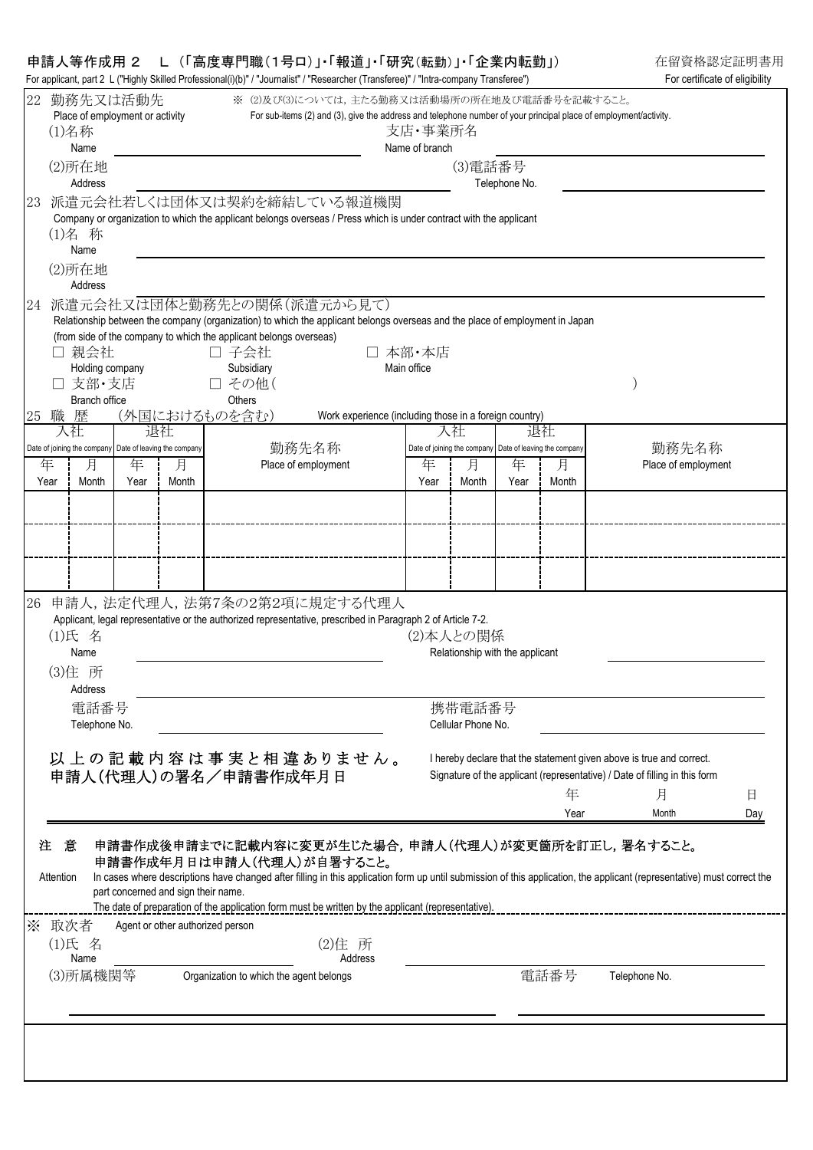## 申請人等作成用 2 L (「高度専門職(1号ロ)」・「報道」・「研究(転勤)」・「企業内転勤」) 在留資格認定証明書用

| 22        | 勤務先又は活動先<br>Place of employment or activity<br>(1)名称                  |           |                                     | ※ (2)及び(3)については、主たる勤務又は活動場所の所在地及び電話番号を記載すること。<br>For sub-items (2) and (3), give the address and telephone number of your principal place of employment/activity.                                                                                                                                                                                                 |                                                        | 支店・事業所名              |                                                                       |               |            |                                                                                                                                                         |     |
|-----------|-----------------------------------------------------------------------|-----------|-------------------------------------|-------------------------------------------------------------------------------------------------------------------------------------------------------------------------------------------------------------------------------------------------------------------------------------------------------------------------------------------------------------------|--------------------------------------------------------|----------------------|-----------------------------------------------------------------------|---------------|------------|---------------------------------------------------------------------------------------------------------------------------------------------------------|-----|
|           | Name<br>(2)所在地<br>Address                                             |           |                                     |                                                                                                                                                                                                                                                                                                                                                                   |                                                        | Name of branch       | (3)電話番号                                                               | Telephone No. |            |                                                                                                                                                         |     |
| 23        | (1)名 称<br>Name<br>(2)所在地<br>Address                                   |           |                                     | 派遣元会社若しくは団体又は契約を締結している報道機関<br>Company or organization to which the applicant belongs overseas / Press which is under contract with the applicant                                                                                                                                                                                                                  |                                                        |                      |                                                                       |               |            |                                                                                                                                                         |     |
| 24        | 親会社<br>Holding company<br>支部・支店<br><b>Branch office</b>               |           |                                     | 派遣元会社又は団体と勤務先との関係(派遣元から見て)<br>Relationship between the company (organization) to which the applicant belongs overseas and the place of employment in Japan<br>(from side of the company to which the applicant belongs overseas)<br>□ 子会社<br>Subsidiary<br>□ その他(<br>Others                                                                                       |                                                        | 本部・本店<br>Main office |                                                                       |               |            |                                                                                                                                                         |     |
| 25        | 職 歴<br>入社                                                             |           | (外国におけるものを含む)<br>退社                 |                                                                                                                                                                                                                                                                                                                                                                   | Work experience (including those in a foreign country) |                      | 入社                                                                    |               | 退社         |                                                                                                                                                         |     |
| 年<br>Year | Date of joining the company Date of leaving the company<br>月<br>Month | 年<br>Year | 月<br>Month                          | 勤務先名称<br>Place of employment                                                                                                                                                                                                                                                                                                                                      |                                                        | 年<br>Year            | Date of joining the company Date of leaving the company<br>月<br>Month | 年<br>Year     | 月<br>Month | 勤務先名称<br>Place of employment                                                                                                                            |     |
|           |                                                                       |           |                                     |                                                                                                                                                                                                                                                                                                                                                                   |                                                        |                      |                                                                       |               |            |                                                                                                                                                         |     |
| 26        | (1)氏 名<br>Name<br>(3)住 所                                              |           |                                     | 申請人,法定代理人,法第7条の2第2項に規定する代理人<br>Applicant, legal representative or the authorized representative, prescribed in Paragraph 2 of Article 7-2.                                                                                                                                                                                                                        |                                                        |                      | (2)本人との関係<br>Relationship with the applicant                          |               |            |                                                                                                                                                         |     |
|           | Address<br>電話番号                                                       |           |                                     |                                                                                                                                                                                                                                                                                                                                                                   |                                                        |                      | 携帯電話番号                                                                |               |            |                                                                                                                                                         |     |
|           | Telephone No.                                                         |           |                                     | 以上の記載内容は事実と相違ありません。<br>申請人(代理人)の署名/申請書作成年月日                                                                                                                                                                                                                                                                                                                       |                                                        |                      | Cellular Phone No.                                                    |               | 年          | I hereby declare that the statement given above is true and correct.<br>Signature of the applicant (representative) / Date of filling in this form<br>月 | 日   |
| 注         | 意<br>Attention                                                        |           | part concerned and sign their name. | 申請書作成後申請までに記載内容に変更が生じた場合,申請人(代理人)が変更箇所を訂正し,署名すること。<br>申請書作成年月日は申請人(代理人)が自署すること。<br>In cases where descriptions have changed after filling in this application form up until submission of this application, the applicant (representative) must correct the<br>The date of preparation of the application form must be written by the applicant (representative). |                                                        |                      |                                                                       |               | Year       | Month                                                                                                                                                   | Day |
|           | ※ 取次者<br>(1)氏 名<br>Name                                               |           | Agent or other authorized person    |                                                                                                                                                                                                                                                                                                                                                                   | (2)住所<br>Address                                       |                      |                                                                       |               |            |                                                                                                                                                         |     |
|           | (3)所属機関等                                                              |           |                                     | Organization to which the agent belongs                                                                                                                                                                                                                                                                                                                           |                                                        |                      |                                                                       |               | 電話番号       | Telephone No.                                                                                                                                           |     |
|           |                                                                       |           |                                     |                                                                                                                                                                                                                                                                                                                                                                   |                                                        |                      |                                                                       |               |            |                                                                                                                                                         |     |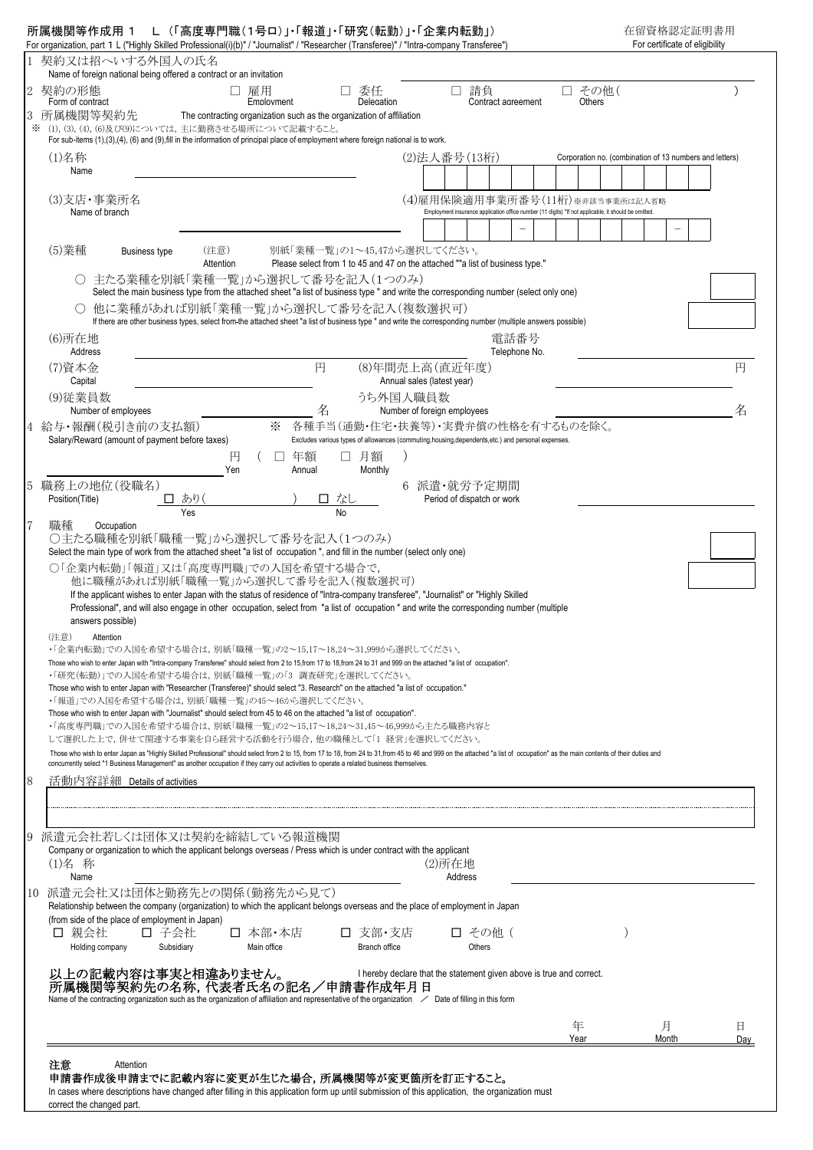|                                                                                                                                                                                                                                                                                | 1 契約又は招へいする外国人の氏名<br>Name of foreign national being offered a contract or an invitation |                  |        |   |             |                                                                                                            |                             |         |                                                                                                                                         |               |  |                  |  |                                                         |            |  |          |
|--------------------------------------------------------------------------------------------------------------------------------------------------------------------------------------------------------------------------------------------------------------------------------|-----------------------------------------------------------------------------------------|------------------|--------|---|-------------|------------------------------------------------------------------------------------------------------------|-----------------------------|---------|-----------------------------------------------------------------------------------------------------------------------------------------|---------------|--|------------------|--|---------------------------------------------------------|------------|--|----------|
| 契約の形態<br>Form of contract<br>所属機関等契約先                                                                                                                                                                                                                                          | П.<br>The contracting organization such as the organization of affiliation              | 雇用<br>Employment |        |   |             | 委任<br>Delegation                                                                                           |                             |         | 請負<br>Contract agreement                                                                                                                |               |  | □ その他(<br>Others |  |                                                         |            |  |          |
| ※ (1), (3), (4), (6)及び(9)については、主に勤務させる場所について記載すること。<br>For sub-items $(1),(3),(4),(6)$ and $(9),$ fill in the information of principal place of employment where foreign national is to work.                                                                                  |                                                                                         |                  |        |   |             |                                                                                                            |                             |         |                                                                                                                                         |               |  |                  |  |                                                         |            |  |          |
| $(1)$ 名称                                                                                                                                                                                                                                                                       |                                                                                         |                  |        |   |             |                                                                                                            |                             |         | (2) 法人番号 (13桁)                                                                                                                          |               |  |                  |  | Corporation no. (combination of 13 numbers and letters) |            |  |          |
| Name                                                                                                                                                                                                                                                                           |                                                                                         |                  |        |   |             |                                                                                                            |                             |         |                                                                                                                                         |               |  |                  |  |                                                         |            |  |          |
| (3)支店·事業所名                                                                                                                                                                                                                                                                     |                                                                                         |                  |        |   |             |                                                                                                            |                             |         | (4)雇用保険適用事業所番号(11桁)※非該当事業所は記入省略<br>Employment insurance application office number (11 digits) *If not applicable, it should be omitted. |               |  |                  |  |                                                         |            |  |          |
| Name of branch                                                                                                                                                                                                                                                                 |                                                                                         |                  |        |   |             |                                                                                                            |                             |         |                                                                                                                                         |               |  |                  |  |                                                         |            |  |          |
| (5)業種<br>Business type                                                                                                                                                                                                                                                         | (注意)                                                                                    |                  |        |   |             | 別紙「業種一覧」の1~45,47から選択してください。                                                                                |                             |         |                                                                                                                                         |               |  |                  |  |                                                         |            |  |          |
| ○ 主たる業種を別紙「業種一覧」から選択して番号を記入(1つのみ)                                                                                                                                                                                                                                              | Attention                                                                               |                  |        |   |             | Please select from 1 to 45 and 47 on the attached ""a list of business type."                              |                             |         |                                                                                                                                         |               |  |                  |  |                                                         |            |  |          |
| Select the main business type from the attached sheet "a list of business type " and write the corresponding number (select only one)                                                                                                                                          |                                                                                         |                  |        |   |             |                                                                                                            |                             |         |                                                                                                                                         |               |  |                  |  |                                                         |            |  |          |
| ○ 他に業種があれば別紙「業種一覧」から選択して番号を記入(複数選択可)<br>If there are other business types, select from the attached sheet "a list of business type " and write the corresponding number (multiple answers possible)                                                                            |                                                                                         |                  |        |   |             |                                                                                                            |                             |         |                                                                                                                                         |               |  |                  |  |                                                         |            |  |          |
| (6)所在地                                                                                                                                                                                                                                                                         |                                                                                         |                  |        |   |             |                                                                                                            |                             |         |                                                                                                                                         | 電話番号          |  |                  |  |                                                         |            |  |          |
| Address<br>(7)資本金                                                                                                                                                                                                                                                              |                                                                                         |                  |        | 円 |             | (8)年間売上高(直近年度)                                                                                             |                             |         |                                                                                                                                         | Telephone No. |  |                  |  |                                                         |            |  | 円        |
| Capital                                                                                                                                                                                                                                                                        |                                                                                         |                  |        |   |             |                                                                                                            | Annual sales (latest year)  |         |                                                                                                                                         |               |  |                  |  |                                                         |            |  |          |
| (9)従業員数<br>Number of employees                                                                                                                                                                                                                                                 |                                                                                         |                  |        | 名 |             | うち外国人職員数                                                                                                   | Number of foreign employees |         |                                                                                                                                         |               |  |                  |  |                                                         |            |  |          |
| 4 給与・報酬(税引き前の支払額)                                                                                                                                                                                                                                                              |                                                                                         |                  | ⋇      |   |             | 各種手当(通勤・住宅・扶養等)・実費弁償の性格を有するものを除く。                                                                          |                             |         |                                                                                                                                         |               |  |                  |  |                                                         |            |  |          |
| Salary/Reward (amount of payment before taxes)                                                                                                                                                                                                                                 | 円                                                                                       |                  | □ 年額   |   |             | Excludes various types of allowances (commuting, housing, dependents, etc.) and personal expenses.<br>□ 月額 |                             |         |                                                                                                                                         |               |  |                  |  |                                                         |            |  |          |
|                                                                                                                                                                                                                                                                                | Yen                                                                                     |                  | Annual |   |             | Monthly                                                                                                    |                             |         |                                                                                                                                         |               |  |                  |  |                                                         |            |  |          |
| 5 職務上の地位(役職名)<br>Position(Title)                                                                                                                                                                                                                                               |                                                                                         |                  |        |   | <u>口 なし</u> |                                                                                                            |                             |         | 6 派遣·就労予定期間<br>Period of dispatch or work                                                                                               |               |  |                  |  |                                                         |            |  |          |
| 職種                                                                                                                                                                                                                                                                             | $\frac{\Box \delta v}{\gamma_{\text{es}}}$                                              |                  |        |   |             |                                                                                                            |                             |         |                                                                                                                                         |               |  |                  |  |                                                         |            |  |          |
| Occupation<br>○主たる職種を別紙「職種一覧」から選択して番号を記入(1つのみ)                                                                                                                                                                                                                                 |                                                                                         |                  |        |   |             |                                                                                                            |                             |         |                                                                                                                                         |               |  |                  |  |                                                         |            |  |          |
| Select the main type of work from the attached sheet "a list of occupation ", and fill in the number (select only one)<br>○「企業内転勤」「報道」又は「高度専門職」での入国を希望する場合で,                                                                                                                   |                                                                                         |                  |        |   |             |                                                                                                            |                             |         |                                                                                                                                         |               |  |                  |  |                                                         |            |  |          |
| 他に職種があれば別紙「職種一覧」から選択して番号を記入(複数選択可)                                                                                                                                                                                                                                             |                                                                                         |                  |        |   |             |                                                                                                            |                             |         |                                                                                                                                         |               |  |                  |  |                                                         |            |  |          |
| If the applicant wishes to enter Japan with the status of residence of "Intra-company transferee", "Journalist" or "Highly Skilled<br>Professional", and will also engage in other occupation, select from "a list of occupation" and write the corresponding number (multiple |                                                                                         |                  |        |   |             |                                                                                                            |                             |         |                                                                                                                                         |               |  |                  |  |                                                         |            |  |          |
| answers possible)                                                                                                                                                                                                                                                              |                                                                                         |                  |        |   |             |                                                                                                            |                             |         |                                                                                                                                         |               |  |                  |  |                                                         |            |  |          |
| (注意)<br>Attention<br>・「企業内転勤」での入国を希望する場合は,別紙「職種一覧」の2~15,17~18,24~31,999から選択してください。                                                                                                                                                                                             |                                                                                         |                  |        |   |             |                                                                                                            |                             |         |                                                                                                                                         |               |  |                  |  |                                                         |            |  |          |
| Those who wish to enter Japan with "Intra-company Transferee" should select from 2 to 15,from 17 to 18,from 24 to 31 and 999 on the attached "a list of occupation".<br>・「研究(転勤)」での入国を希望する場合は,別紙「職種一覧」の「3 調査研究」を選択してください。                                                      |                                                                                         |                  |        |   |             |                                                                                                            |                             |         |                                                                                                                                         |               |  |                  |  |                                                         |            |  |          |
| Those who wish to enter Japan with "Researcher (Transferee)" should select "3. Research" on the attached "a list of occupation."                                                                                                                                               |                                                                                         |                  |        |   |             |                                                                                                            |                             |         |                                                                                                                                         |               |  |                  |  |                                                         |            |  |          |
| ・「報道」での入国を希望する場合は、別紙「職種一覧」の45~46から選択してください。<br>Those who wish to enter Japan with "Journalist" should select from 45 to 46 on the attached "a list of occupation".                                                                                                             |                                                                                         |                  |        |   |             |                                                                                                            |                             |         |                                                                                                                                         |               |  |                  |  |                                                         |            |  |          |
| ・「高度専門職」での入国を希望する場合は,別紙「職種一覧」の2~15,17~18,24~31,45~46,999から主たる職務内容と<br>して選択した上で、併せて関連する事業を自ら経営する活動を行う場合、他の職種として「1 経営」を選択してください。                                                                                                                                                 |                                                                                         |                  |        |   |             |                                                                                                            |                             |         |                                                                                                                                         |               |  |                  |  |                                                         |            |  |          |
|                                                                                                                                                                                                                                                                                |                                                                                         |                  |        |   |             |                                                                                                            |                             |         |                                                                                                                                         |               |  |                  |  |                                                         |            |  |          |
| Those who wish to enter Japan as "Highly Skilled Professional" should select from 2 to 15, from 17 to 18, from 24 to 31, from 45 to 46 and 999 on the attached "a list of occupation" as the main contents of their duties and                                                 |                                                                                         |                  |        |   |             |                                                                                                            |                             |         |                                                                                                                                         |               |  |                  |  |                                                         |            |  |          |
| concurrently select "1 Business Management" as another occupation if they carry out activities to operate a related business themselves.<br>活動内容詳細 Details of activities                                                                                                       |                                                                                         |                  |        |   |             |                                                                                                            |                             |         |                                                                                                                                         |               |  |                  |  |                                                         |            |  |          |
|                                                                                                                                                                                                                                                                                |                                                                                         |                  |        |   |             |                                                                                                            |                             |         |                                                                                                                                         |               |  |                  |  |                                                         |            |  |          |
|                                                                                                                                                                                                                                                                                |                                                                                         |                  |        |   |             |                                                                                                            |                             |         |                                                                                                                                         |               |  |                  |  |                                                         |            |  |          |
| 派遣元会社若しくは団体又は契約を締結している報道機関                                                                                                                                                                                                                                                     |                                                                                         |                  |        |   |             |                                                                                                            |                             |         |                                                                                                                                         |               |  |                  |  |                                                         |            |  |          |
| Company or organization to which the applicant belongs overseas / Press which is under contract with the applicant<br>(1)名 称                                                                                                                                                   |                                                                                         |                  |        |   |             |                                                                                                            |                             | (2)所在地  |                                                                                                                                         |               |  |                  |  |                                                         |            |  |          |
| Name                                                                                                                                                                                                                                                                           |                                                                                         |                  |        |   |             |                                                                                                            |                             | Address |                                                                                                                                         |               |  |                  |  |                                                         |            |  |          |
| 派遣元会社又は団体と勤務先との関係(勤務先から見て)<br>10<br>Relationship between the company (organization) to which the applicant belongs overseas and the place of employment in Japan                                                                                                               |                                                                                         |                  |        |   |             |                                                                                                            |                             |         |                                                                                                                                         |               |  |                  |  |                                                         |            |  |          |
| (from side of the place of employment in Japan)<br>口 親会社<br>口 子会社                                                                                                                                                                                                              |                                                                                         | 口 本部・本店          |        |   |             | □ 支部・支店                                                                                                    |                             |         | □ その他 (                                                                                                                                 |               |  |                  |  |                                                         |            |  |          |
| Subsidiary<br>Holding company                                                                                                                                                                                                                                                  |                                                                                         | Main office      |        |   |             | Branch office                                                                                              |                             |         | Others                                                                                                                                  |               |  |                  |  |                                                         |            |  |          |
| 以上の記載内容は事実と相違ありません。<br>所属機関等契約先の名称,代表者氏名の記名/申請書作成年月日                                                                                                                                                                                                                           |                                                                                         |                  |        |   |             | I hereby declare that the statement given above is true and correct.                                       |                             |         |                                                                                                                                         |               |  |                  |  |                                                         |            |  |          |
| Name of the contracting organization such as the organization of affiliation and representative of the organization $\angle$ Date of filling in this form                                                                                                                      |                                                                                         |                  |        |   |             |                                                                                                            |                             |         |                                                                                                                                         |               |  |                  |  |                                                         |            |  |          |
|                                                                                                                                                                                                                                                                                |                                                                                         |                  |        |   |             |                                                                                                            |                             |         |                                                                                                                                         |               |  | 年<br>Year        |  |                                                         | 月<br>Month |  | 日<br>Day |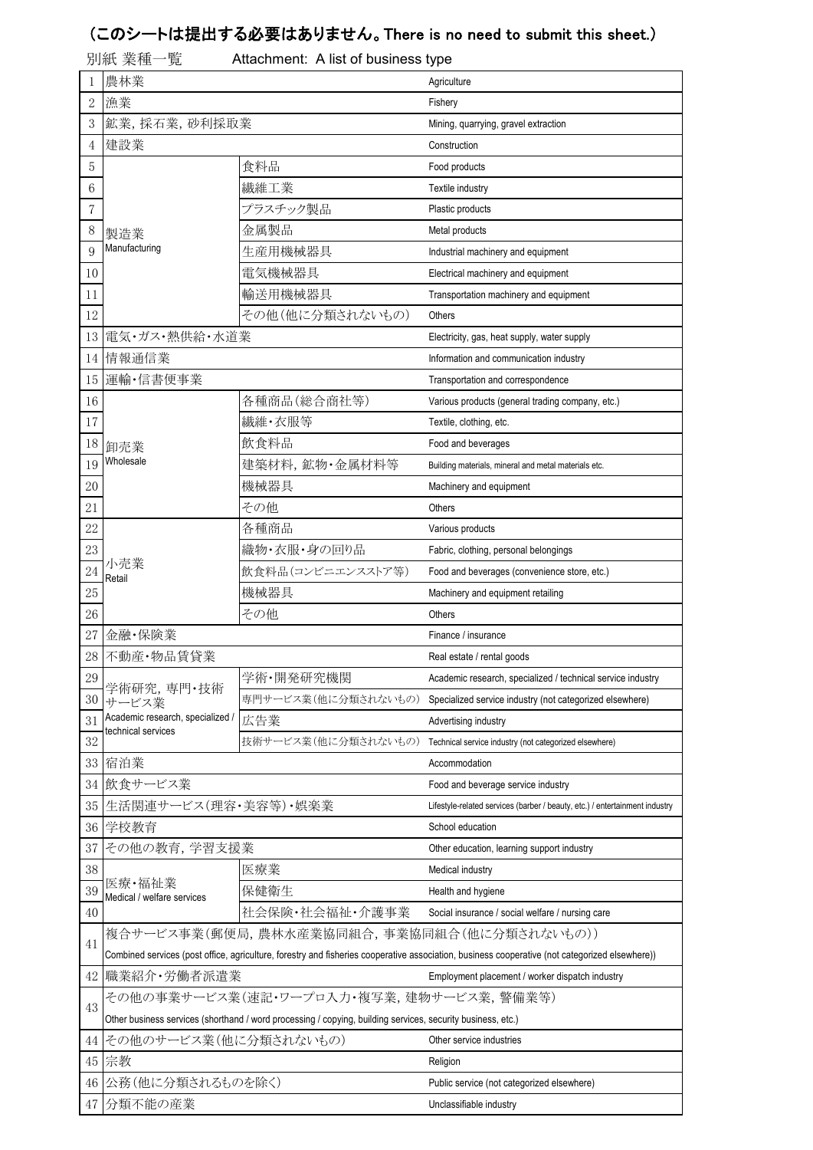## (このシートは提出する必要はありません。There is no need to submit this sheet.)

|            | 別紙 業種一覧                          | Attachment: A list of business type                                                                         |                                                                                                                                                |  |  |  |  |  |  |
|------------|----------------------------------|-------------------------------------------------------------------------------------------------------------|------------------------------------------------------------------------------------------------------------------------------------------------|--|--|--|--|--|--|
|            | 農林業                              |                                                                                                             | Agriculture                                                                                                                                    |  |  |  |  |  |  |
| $\sqrt{2}$ | 漁業                               |                                                                                                             | Fishery                                                                                                                                        |  |  |  |  |  |  |
| 3          | 鉱業,採石業,砂利採取業                     |                                                                                                             | Mining, quarrying, gravel extraction                                                                                                           |  |  |  |  |  |  |
| 4          | 建設業                              |                                                                                                             | Construction                                                                                                                                   |  |  |  |  |  |  |
| 5          |                                  | 食料品                                                                                                         | Food products                                                                                                                                  |  |  |  |  |  |  |
| $\,6\,$    |                                  | 繊維工業                                                                                                        | Textile industry                                                                                                                               |  |  |  |  |  |  |
| 7          |                                  | プラスチック製品                                                                                                    | Plastic products                                                                                                                               |  |  |  |  |  |  |
| 8          | 製造業                              | 金属製品                                                                                                        | Metal products<br>Industrial machinery and equipment<br>Electrical machinery and equipment                                                     |  |  |  |  |  |  |
| 9          | Manufacturing                    | 生産用機械器具                                                                                                     |                                                                                                                                                |  |  |  |  |  |  |
| 10         |                                  | 電気機械器具                                                                                                      |                                                                                                                                                |  |  |  |  |  |  |
| 11         |                                  | 輸送用機械器具                                                                                                     | Transportation machinery and equipment                                                                                                         |  |  |  |  |  |  |
| 12         |                                  | その他(他に分類されないもの)                                                                                             | Others                                                                                                                                         |  |  |  |  |  |  |
| 13         | 電気・ガス・熱供給・水道業                    |                                                                                                             | Electricity, gas, heat supply, water supply                                                                                                    |  |  |  |  |  |  |
| 14         | 情報通信業                            |                                                                                                             | Information and communication industry                                                                                                         |  |  |  |  |  |  |
| 15         | 運輸·信書便事業                         |                                                                                                             | Transportation and correspondence                                                                                                              |  |  |  |  |  |  |
| 16         |                                  | 各種商品(総合商社等)                                                                                                 | Various products (general trading company, etc.)                                                                                               |  |  |  |  |  |  |
| 17         |                                  | 繊維・衣服等                                                                                                      | Textile, clothing, etc.                                                                                                                        |  |  |  |  |  |  |
| 18         | 卸売業                              | 飲食料品                                                                                                        | Food and beverages                                                                                                                             |  |  |  |  |  |  |
| 19         | Wholesale                        | 建築材料,鉱物·金属材料等                                                                                               | Building materials, mineral and metal materials etc.                                                                                           |  |  |  |  |  |  |
| 20         |                                  | 機械器具                                                                                                        | Machinery and equipment                                                                                                                        |  |  |  |  |  |  |
| 21         |                                  | その他                                                                                                         | Others                                                                                                                                         |  |  |  |  |  |  |
| 22         |                                  | 各種商品                                                                                                        | Various products                                                                                                                               |  |  |  |  |  |  |
| 23         |                                  | 織物・衣服・身の回り品                                                                                                 | Fabric, clothing, personal belongings                                                                                                          |  |  |  |  |  |  |
| 24         | 小売業                              | 飲食料品(コンビニエンスストア等)                                                                                           | Food and beverages (convenience store, etc.)                                                                                                   |  |  |  |  |  |  |
| 25         | Retail                           | 機械器具                                                                                                        | Machinery and equipment retailing                                                                                                              |  |  |  |  |  |  |
| 26         |                                  | その他                                                                                                         | Others                                                                                                                                         |  |  |  |  |  |  |
| 27         | 金融·保険業                           |                                                                                                             | Finance / insurance                                                                                                                            |  |  |  |  |  |  |
|            | 28 不動産·物品賃貸業                     |                                                                                                             | Real estate / rental goods                                                                                                                     |  |  |  |  |  |  |
| 29         |                                  | 学術·開発研究機関                                                                                                   | Academic research, specialized / technical service industry                                                                                    |  |  |  |  |  |  |
| 30         | 学術研究,専門・技術<br>サービス業              | 専門サービス業(他に分類されないもの)                                                                                         | Specialized service industry (not categorized elsewhere)                                                                                       |  |  |  |  |  |  |
| 31         | Academic research, specialized / | 広告業                                                                                                         | Advertising industry                                                                                                                           |  |  |  |  |  |  |
| 32         | technical services               | 技術サービス業(他に分類されないもの)                                                                                         | Technical service industry (not categorized elsewhere)                                                                                         |  |  |  |  |  |  |
| 33         | 宿泊業                              |                                                                                                             | Accommodation                                                                                                                                  |  |  |  |  |  |  |
| 34         | 飲食サービス業                          |                                                                                                             | Food and beverage service industry                                                                                                             |  |  |  |  |  |  |
| 35         | 生活関連サービス(理容・美容等)・娯楽業             |                                                                                                             | Lifestyle-related services (barber / beauty, etc.) / entertainment industry                                                                    |  |  |  |  |  |  |
| 36         | 学校教育                             |                                                                                                             | School education                                                                                                                               |  |  |  |  |  |  |
| 37         | その他の教育,学習支援業                     |                                                                                                             | Other education, learning support industry                                                                                                     |  |  |  |  |  |  |
| 38         |                                  | 医療業                                                                                                         | Medical industry                                                                                                                               |  |  |  |  |  |  |
| 39         | 医療・福祉業                           | 保健衛生                                                                                                        | Health and hygiene                                                                                                                             |  |  |  |  |  |  |
| 40         | Medical / welfare services       | 社会保険・社会福祉・介護事業                                                                                              | Social insurance / social welfare / nursing care                                                                                               |  |  |  |  |  |  |
|            |                                  |                                                                                                             |                                                                                                                                                |  |  |  |  |  |  |
|            |                                  |                                                                                                             |                                                                                                                                                |  |  |  |  |  |  |
| 41         |                                  | 複合サービス事業(郵便局,農林水産業協同組合,事業協同組合(他に分類されないもの))                                                                  |                                                                                                                                                |  |  |  |  |  |  |
|            |                                  |                                                                                                             | Combined services (post office, agriculture, forestry and fisheries cooperative association, business cooperative (not categorized elsewhere)) |  |  |  |  |  |  |
| 42         | 職業紹介・労働者派遣業                      |                                                                                                             | Employment placement / worker dispatch industry                                                                                                |  |  |  |  |  |  |
| 43         |                                  | その他の事業サービス業(速記・ワープロ入力・複写業,建物サービス業,警備業等)                                                                     |                                                                                                                                                |  |  |  |  |  |  |
|            |                                  | Other business services (shorthand / word processing / copying, building services, security business, etc.) |                                                                                                                                                |  |  |  |  |  |  |
| 44         | その他のサービス業(他に分類されないもの)            |                                                                                                             | Other service industries                                                                                                                       |  |  |  |  |  |  |
| 45         | 宗教                               |                                                                                                             | Religion                                                                                                                                       |  |  |  |  |  |  |
| 46         | 公務(他に分類されるものを除く)<br>47 分類不能の産業   |                                                                                                             | Public service (not categorized elsewhere)<br>Unclassifiable industry                                                                          |  |  |  |  |  |  |